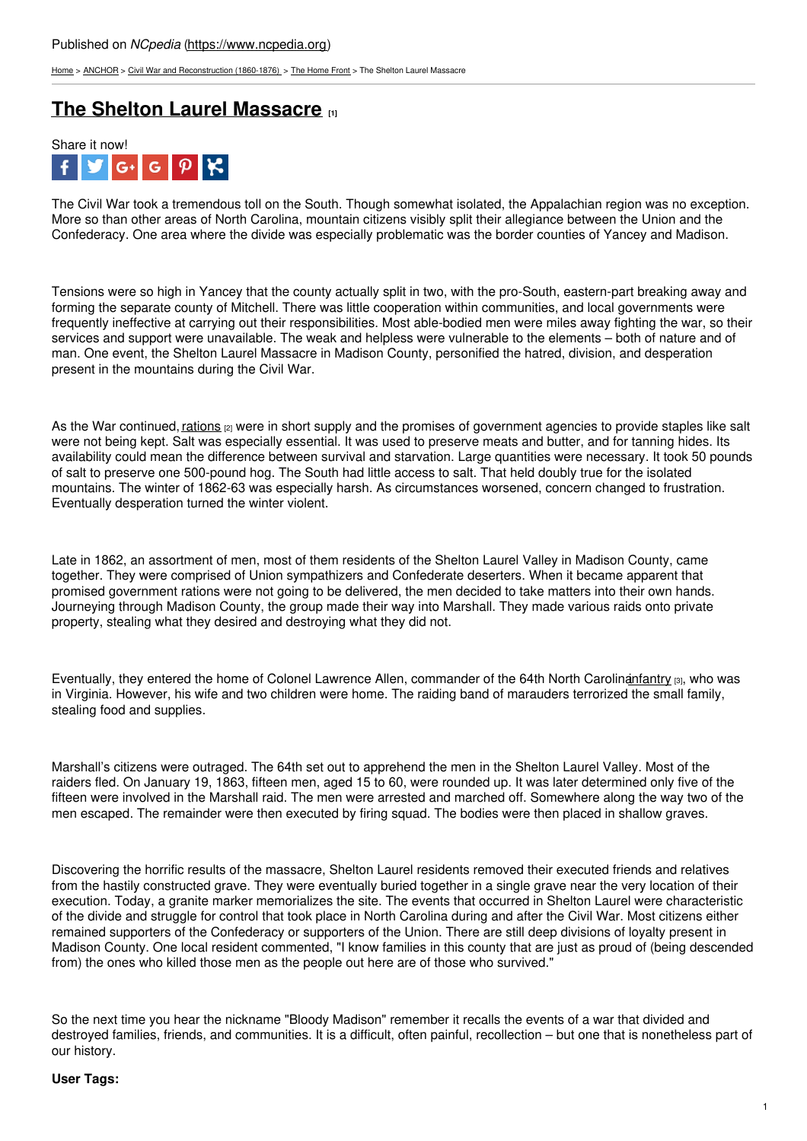[Home](https://www.ncpedia.org/) > [ANCHOR](https://www.ncpedia.org/anchor/anchor) > Civil War and [Reconstruction](https://www.ncpedia.org/anchor/civil-war-and-reconstruction) (1860-1876) > The [Home](https://www.ncpedia.org/anchor/home-front) Front > The Shelton Laurel Massacre

# **The Shelton Laurel [Massacre](https://www.ncpedia.org/anchor/shelton-laurel-massacre) [1]**



The Civil War took a tremendous toll on the South. Though somewhat isolated, the Appalachian region was no exception. More so than other areas of North Carolina, mountain citizens visibly split their allegiance between the Union and the Confederacy. One area where the divide was especially problematic was the border counties of Yancey and Madison.

Tensions were so high in Yancey that the county actually split in two, with the pro-South, eastern-part breaking away and forming the separate county of Mitchell. There was little cooperation within communities, and local governments were frequently ineffective at carrying out their responsibilities. Most able-bodied men were miles away fighting the war, so their services and support were unavailable. The weak and helpless were vulnerable to the elements – both of nature and of man. One event, the Shelton Laurel [Massacre](http://www.social9.com) in Madison County, personified the hatred, division, and desperation present in the mountains during the Civil War.

As the War continued, [rations](https://www.ncpedia.org/glossary/rations) <sub>[2]</sub> were in short supply and the promises of government agencies to provide staples like salt were not being kept. Salt was especially essential. It was used to preserve meats and butter, and for tanning hides. Its availability could mean the difference between survival and starvation. Large quantities were necessary. It took 50 pounds of salt to preserve one 500-pound hog. The South had little access to salt. That held doubly true for the isolated mountains. The winter of 1862-63 was especially harsh. As circumstances worsened, concern changed to frustration. Eventually desperation turned the winter violent.

Late in 1862, an assortment of men, most of them residents of the Shelton Laurel Valley in Madison County, came together. They were comprised of Union sympathizers and Confederate deserters. When it became apparent that promised government rations were not going to be delivered, the men decided to take matters into their own hands. Journeying through Madison County, the group made their way into Marshall. They made various raids onto private property, stealing what they desired and destroying what they did not.

Eventually, they entered the home of Colonel Lawrence Allen, commander of the 64th North Carolinantantry [3], who was in Virginia. However, his wife and two children were home. The raiding band of marauders terrorized the small family, stealing food and supplies.

Marshall's citizens were outraged. The 64th set out to apprehend the men in the Shelton Laurel Valley. Most of the raiders fled. On January 19, 1863, fifteen men, aged 15 to 60, were rounded up. It was later determined only five of the fifteen were involved in the Marshall raid. The men were arrested and marched off. Somewhere along the way two of the men escaped. The remainder were then executed by firing squad. The bodies were then placed in shallow graves.

Discovering the horrific results of the massacre, Shelton Laurel residents removed their executed friends and relatives from the hastily constructed grave. They were eventually buried together in a single grave near the very location of their execution. Today, a granite marker memorializes the site. The events that occurred in Shelton Laurel were characteristic of the divide and struggle for control that took place in North Carolina during and after the Civil War. Most citizens either remained supporters of the Confederacy or supporters of the Union. There are still deep divisions of loyalty present in Madison County. One local resident commented, "I know families in this county that are just as proud of (being descended from) the ones who killed those men as the people out here are of those who survived."

So the next time you hear the nickname "Bloody Madison" remember it recalls the events of a war that divided and destroyed families, friends, and communities. It is a difficult, often painful, recollection – but one that is nonetheless part of our history.

### **User Tags:**